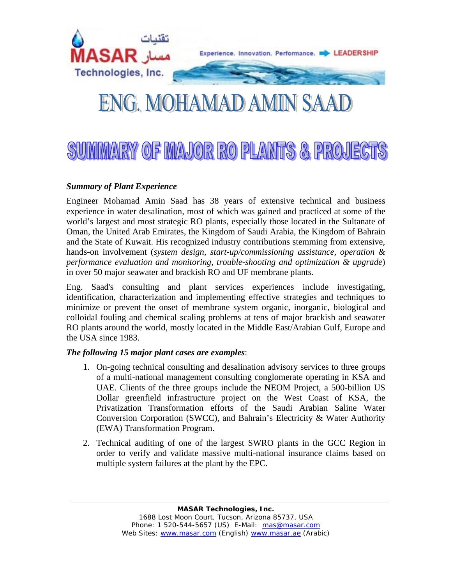

# ENG. MOHAMAD AMIN SAAD

# SUMMARY OF MAJOR RO PLANTS & PROJECT

## *Summary of Plant Experience*

Engineer Mohamad Amin Saad has 38 years of extensive technical and business experience in water desalination, most of which was gained and practiced at some of the world's largest and most strategic RO plants, especially those located in the Sultanate of Oman, the United Arab Emirates, the Kingdom of Saudi Arabia, the Kingdom of Bahrain and the State of Kuwait. His recognized industry contributions stemming from extensive, hands-on involvement (*system design, start-up/commissioning assistance, operation & performance evaluation and monitoring, trouble-shooting and optimization & upgrade*) in over 50 major seawater and brackish RO and UF membrane plants.

Eng. Saad's consulting and plant services experiences include investigating, identification, characterization and implementing effective strategies and techniques to minimize or prevent the onset of membrane system organic, inorganic, biological and colloidal fouling and chemical scaling problems at tens of major brackish and seawater RO plants around the world, mostly located in the Middle East/Arabian Gulf, Europe and the USA since 1983.

#### *The following 15 major plant cases are examples*:

- 1. On-going technical consulting and desalination advisory services to three groups of a multi-national management consulting conglomerate operating in KSA and UAE. Clients of the three groups include the NEOM Project, a 500-billion US Dollar greenfield infrastructure project on the West Coast of KSA, the Privatization Transformation efforts of the Saudi Arabian Saline Water Conversion Corporation (SWCC), and Bahrain's Electricity & Water Authority (EWA) Transformation Program.
- 2. Technical auditing of one of the largest SWRO plants in the GCC Region in order to verify and validate massive multi-national insurance claims based on multiple system failures at the plant by the EPC.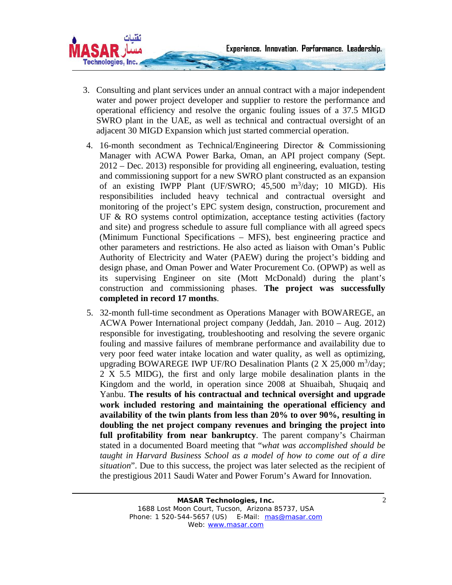

- 3. Consulting and plant services under an annual contract with a major independent water and power project developer and supplier to restore the performance and operational efficiency and resolve the organic fouling issues of a 37.5 MIGD SWRO plant in the UAE, as well as technical and contractual oversight of an adjacent 30 MIGD Expansion which just started commercial operation.
- 4. 16-month secondment as Technical/Engineering Director & Commissioning Manager with ACWA Power Barka, Oman, an API project company (Sept. 2012 – Dec. 2013) responsible for providing all engineering, evaluation, testing and commissioning support for a new SWRO plant constructed as an expansion of an existing IWPP Plant (UF/SWRO; 45,500 m<sup>3</sup>/day; 10 MIGD). His responsibilities included heavy technical and contractual oversight and monitoring of the project's EPC system design, construction, procurement and UF & RO systems control optimization, acceptance testing activities (factory and site) and progress schedule to assure full compliance with all agreed specs (Minimum Functional Specifications – MFS), best engineering practice and other parameters and restrictions. He also acted as liaison with Oman's Public Authority of Electricity and Water (PAEW) during the project's bidding and design phase, and Oman Power and Water Procurement Co. (OPWP) as well as its supervising Engineer on site (Mott McDonald) during the plant's construction and commissioning phases. **The project was successfully completed in record 17 months**.
- 5. 32-month full-time secondment as Operations Manager with BOWAREGE, an ACWA Power International project company (Jeddah, Jan. 2010 – Aug. 2012) responsible for investigating, troubleshooting and resolving the severe organic fouling and massive failures of membrane performance and availability due to very poor feed water intake location and water quality, as well as optimizing, upgrading BOWAREGE IWP UF/RO Desalination Plants  $(2 \times 25,000 \text{ m}^3/\text{day})$ ; 2 X 5.5 MIDG), the first and only large mobile desalination plants in the Kingdom and the world, in operation since 2008 at Shuaibah, Shuqaiq and Yanbu. **The results of his contractual and technical oversight and upgrade work included restoring and maintaining the operational efficiency and availability of the twin plants from less than 20% to over 90%, resulting in doubling the net project company revenues and bringing the project into full profitability from near bankruptcy**. The parent company's Chairman stated in a documented Board meeting that "*what was accomplished should be taught in Harvard Business School as a model of how to come out of a dire situation*". Due to this success, the project was later selected as the recipient of the prestigious 2011 Saudi Water and Power Forum's Award for Innovation.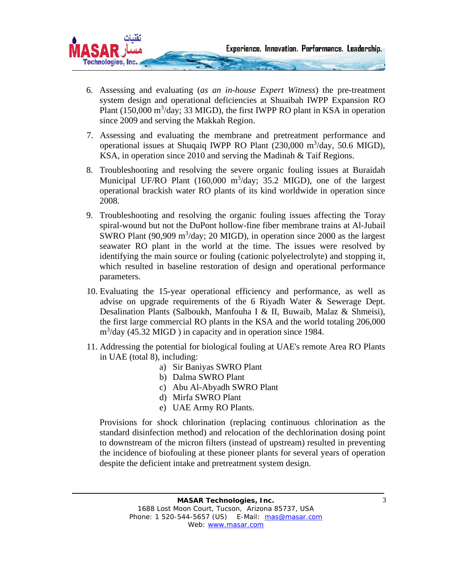

- 6. Assessing and evaluating (*as an in-house Expert Witness*) the pre-treatment system design and operational deficiencies at Shuaibah IWPP Expansion RO Plant  $(150,000 \text{ m}^3/\text{day})$ ; 33 MIGD), the first IWPP RO plant in KSA in operation since 2009 and serving the Makkah Region.
- 7. Assessing and evaluating the membrane and pretreatment performance and operational issues at Shuqaiq IWPP RO Plant (230,000 m<sup>3</sup>/day, 50.6 MIGD), KSA, in operation since 2010 and serving the Madinah & Taif Regions.
- 8. Troubleshooting and resolving the severe organic fouling issues at Buraidah Municipal UF/RO Plant (160,000 m<sup>3</sup>/day; 35.2 MIGD), one of the largest operational brackish water RO plants of its kind worldwide in operation since 2008.
- 9. Troubleshooting and resolving the organic fouling issues affecting the Toray spiral-wound but not the DuPont hollow-fine fiber membrane trains at Al-Jubail SWRO Plant  $(90,909 \text{ m}^3/\text{day}; 20 \text{ MIGD})$ , in operation since 2000 as the largest seawater RO plant in the world at the time. The issues were resolved by identifying the main source or fouling (cationic polyelectrolyte) and stopping it, which resulted in baseline restoration of design and operational performance parameters.
- 10. Evaluating the 15-year operational efficiency and performance, as well as advise on upgrade requirements of the 6 Riyadh Water & Sewerage Dept. Desalination Plants (Salboukh, Manfouha I & II, Buwaib, Malaz & Shmeisi), the first large commercial RO plants in the KSA and the world totaling 206,000 m<sup>3</sup>/day (45.32 MIGD) in capacity and in operation since 1984.
- 11. Addressing the potential for biological fouling at UAE's remote Area RO Plants in UAE (total 8), including:
	- a) Sir Baniyas SWRO Plant
	- b) Dalma SWRO Plant
	- c) Abu Al-Abyadh SWRO Plant
	- d) Mirfa SWRO Plant
	- e) UAE Army RO Plants.

Provisions for shock chlorination (replacing continuous chlorination as the standard disinfection method) and relocation of the dechlorination dosing point to downstream of the micron filters (instead of upstream) resulted in preventing the incidence of biofouling at these pioneer plants for several years of operation despite the deficient intake and pretreatment system design.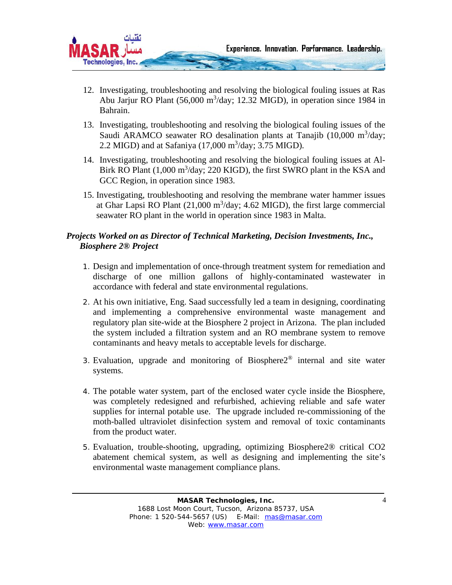

- 12. Investigating, troubleshooting and resolving the biological fouling issues at Ras Abu Jarjur RO Plant (56,000 m<sup>3</sup>/day; 12.32 MIGD), in operation since 1984 in Bahrain.
- 13. Investigating, troubleshooting and resolving the biological fouling issues of the Saudi ARAMCO seawater RO desalination plants at Tanajib  $(10,000 \text{ m}^3/\text{day})$ ; 2.2 MIGD) and at Safaniya  $(17,000 \text{ m}^3/\text{day}; 3.75 \text{ MIGD}).$
- 14. Investigating, troubleshooting and resolving the biological fouling issues at Al-Birk RO Plant (1,000 m<sup>3</sup>/day; 220 KIGD), the first SWRO plant in the KSA and GCC Region, in operation since 1983.
- 15. Investigating, troubleshooting and resolving the membrane water hammer issues at Ghar Lapsi RO Plant  $(21,000 \text{ m}^3/\text{day})$ ; 4.62 MIGD), the first large commercial seawater RO plant in the world in operation since 1983 in Malta.

### *Projects Worked on as Director of Technical Marketing, Decision Investments, Inc., Biosphere 2® Project*

- 1. Design and implementation of once-through treatment system for remediation and discharge of one million gallons of highly-contaminated wastewater in accordance with federal and state environmental regulations.
- 2. At his own initiative, Eng. Saad successfully led a team in designing, coordinating and implementing a comprehensive environmental waste management and regulatory plan site-wide at the Biosphere 2 project in Arizona. The plan included the system included a filtration system and an RO membrane system to remove contaminants and heavy metals to acceptable levels for discharge.
- 3. Evaluation, upgrade and monitoring of Biosphere $2^{\circledR}$  internal and site water systems.
- 4. The potable water system, part of the enclosed water cycle inside the Biosphere, was completely redesigned and refurbished, achieving reliable and safe water supplies for internal potable use. The upgrade included re-commissioning of the moth-balled ultraviolet disinfection system and removal of toxic contaminants from the product water.
- 5. Evaluation, trouble-shooting, upgrading, optimizing Biosphere2® critical CO2 abatement chemical system, as well as designing and implementing the site's environmental waste management compliance plans.